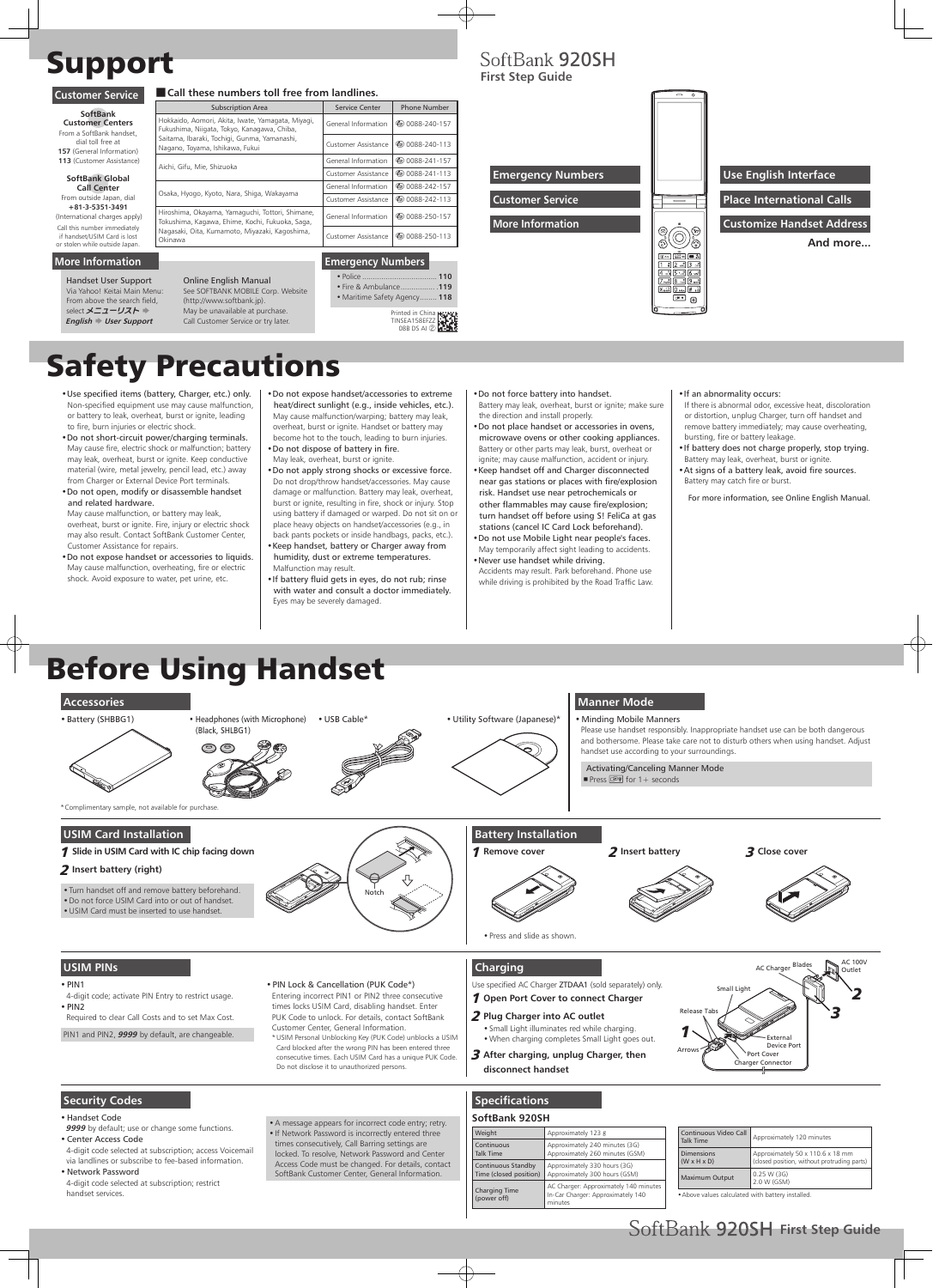## Support

### **Customer Service Call these numbers toll free from landlines.**

# Safety Precautions

## Before Using Handset

- •Use specified items (battery, Charger, etc.) only. Non-specified equipment use may cause malfunction, or battery to leak, overheat, burst or ignite, leading to fire, burn injuries or electric shock.
- •Do not short-circuit power/charging terminals. May cause fire, electric shock or malfunction; battery may leak, overheat, burst or ignite. Keep conductive material (wire, metal jewelry, pencil lead, etc.) away from Charger or External Device Port terminals.
- •Do not open, modify or disassemble handset and related hardware.

May cause malfunction, or battery may leak, overheat, burst or ignite. Fire, injury or electric shock may also result. Contact SoftBank Customer Center, Customer Assistance for repairs.

- •Do not expose handset or accessories to liquids. May cause malfunction, overheating, fire or electric shock. Avoid exposure to water, pet urine, etc.
- •Do not expose handset/accessories to extreme heat/direct sunlight (e.g., inside vehicles, etc.). May cause malfunction/warping; battery may leak, overheat, burst or ignite. Handset or battery may become hot to the touch, leading to burn injuries.

- •Do not dispose of battery in fire. May leak, overheat, burst or ignite.
- •Do not apply strong shocks or excessive force. Do not drop/throw handset/accessories. May cause damage or malfunction. Battery may leak, overheat, burst or ignite, resulting in fire, shock or injury. Stop using battery if damaged or warped. Do not sit on or place heavy objects on handset/accessories (e.g., in back pants pockets or inside handbags, packs, etc.).
- •Keep handset, battery or Charger away from humidity, dust or extreme temperatures. Malfunction may result.
- •If battery fluid gets in eyes, do not rub; rinse with water and consult a doctor immediately. Eyes may be severely damaged.

## SoftBank 920SH

4-digit code; activate PIN Entry to restrict usage.  $\cdot$  PIN2

•Do not force battery into handset.

Battery may leak, overheat, burst or ignite; make sure the direction and install properly.

•Do not place handset or accessories in ovens, microwave ovens or other cooking appliances. Battery or other parts may leak, burst, overheat or

ignite; may cause malfunction, accident or injury. •Keep handset off and Charger disconnected near gas stations or places with fire/explosion risk. Handset use near petrochemicals or other flammables may cause fire/explosion; turn handset off before using S! FeliCa at gas stations (cancel IC Card Lock beforehand). •Do not use Mobile Light near people's faces.

May temporarily affect sight leading to accidents. •Never use handset while driving.

Accidents may result. Park beforehand. Phone use while driving is prohibited by the Road Traffic Law.

#### •If an abnormality occurs:

- If there is abnormal odor, excessive heat, discoloration or distortion, unplug Charger, turn off handset and remove battery immediately; may cause overheating, bursting, fire or battery leakage.
- •If battery does not charge properly, stop trying.
- Battery may leak, overheat, burst or ignite. •At signs of a battery leak, avoid fire sources. Battery may catch fire or burst.

For more information, see Online English Manual.

• Police **110** • Fire & Ambulance ................ .**119** • Maritime Safety Agency ........ **118**

#### **USIM PINs**

#### $\cdot$  PIN1

Required to clear Call Costs and to set Max Cost.

PIN1 and PIN2, **9999** by default, are changeable.

Handset User Support Via Yahoo! Keitai Main Menu: From above the search field, select メニューリスト **English**  $\blacktriangleright$  User Support

> •PIN Lock & Cancellation (PUK Code\*) Entering incorrect PIN1 or PIN2 three consecutive times locks USIM Card, disabling handset. Enter PUK Code to unlock. For details, contact SoftBank Customer Center, General Information. \* USIM Personal Unblocking Key (PUK Code) unblocks a USIM Card blocked after the wrong PIN has been entered three consecutive times. Each USIM Card has a unique PUK Code. Do not disclose it to unauthorized persons.

#### **Security Codes**

•Handset Code

**9999** by default; use or change some functions.

•Center Access Code

4-digit code selected at subscription; access Voicemail via landlines or subscribe to fee-based information.

• Network Password

4-digit code selected at subscription; restrict handset services.

•A message appears for incorrect code entry; retry. •If Network Password is incorrectly entered three times consecutively, Call Barring settings are locked. To resolve, Network Password and Center Access Code must be changed. For details, contact SoftBank Customer Center, General Information.

#### **Charging**

Use specified AC Charger ZTDAA1 (sold separately) only. 1 **Open Port Cover to connect Charger**

- 2 **Plug Charger into AC outlet**
- •Small Light illuminates red while charging. •When charging completes Small Light goes out.
- 3 **After charging, unplug Charger, then disconnect handset**



#### **Specifications**

#### **SoftBank 920SH**

| Weight                                       | Approximately 123 g                                                                   |
|----------------------------------------------|---------------------------------------------------------------------------------------|
| Continuous<br>Talk Time                      | Approximately 240 minutes (3G)<br>Approximately 260 minutes (GSM)                     |
| Continuous Standby<br>Time (closed position) | Approximately 330 hours (3G)<br>Approximately 300 hours (GSM)                         |
| <b>Charging Time</b><br>(power off)          | AC Charger: Approximately 140 minutes<br>In-Car Charger: Approximately 140<br>minutes |

| Continuous Video Call<br><b>Talk Time</b>    | Approximately 120 minutes                                                       |  |
|----------------------------------------------|---------------------------------------------------------------------------------|--|
| <b>Dimensions</b><br>$(W \times H \times D)$ | Approximately 50 x 110.6 x 18 mm<br>(closed position, without protruding parts) |  |
| <b>Maximum Output</b>                        | 0.25 W(3G)<br>2.0 W (GSM)                                                       |  |

•Above values calculated with battery installed.



|                                                                                                                          | <b>Subscription Area</b>                                                                            | Service Center                                            | <b>Phone Number</b>                |
|--------------------------------------------------------------------------------------------------------------------------|-----------------------------------------------------------------------------------------------------|-----------------------------------------------------------|------------------------------------|
| SoftBank<br><b>Customer Centers</b><br>From a SoftBank handset.<br>dial toll free at<br><b>157</b> (General Information) | Hokkaido, Aomori, Akita, Iwate, Yamagata, Miyagi,<br>Fukushima, Niigata, Tokyo, Kanagawa, Chiba,    | General Information                                       | @ 0088-240-157                     |
|                                                                                                                          | Saitama, Ibaraki, Tochigi, Gunma, Yamanashi,<br>Nagano, Toyama, Ishikawa, Fukui                     | Customer Assistance                                       | <b><i><u></u></i></b> 0088-240-113 |
| 113 (Customer Assistance)                                                                                                |                                                                                                     | General Information                                       | <b>◎ 0088-241-157</b>              |
| SoftBank Global                                                                                                          | Aichi, Gifu, Mie, Shizuoka                                                                          | <b><i><u></u></i></b> 0088-241-113<br>Customer Assistance |                                    |
| <b>Call Center</b>                                                                                                       |                                                                                                     | General Information                                       | <b><i>(a)</i></b> 0088-242-157     |
| From outside Japan, dial                                                                                                 | Osaka, Hyogo, Kyoto, Nara, Shiga, Wakayama                                                          | Customer Assistance                                       | <b><i><u></u></i></b> 0088-242-113 |
| $+81 - 3 - 5351 - 3491$<br>(International charges apply)                                                                 | Hiroshima, Okayama, Yamaguchi, Tottori, Shimane,<br>Tokushima, Kagawa, Ehime, Kochi, Fukuoka, Saga, | General Information                                       | <b><i>(a)</i></b> 0088-250-157     |
| Call this number immediately<br>if handset/USIM Card is lost<br>or stolen while outside Japan.                           | Nagasaki, Oita, Kumamoto, Miyazaki, Kagoshima,<br>Okinawa                                           | Customer Assistance                                       | <b><i><u></u></i></b> 0088-250-113 |

**Emergency Numbers**

**First Step Guide**

| -- r                     |                                                                                               |                                              |
|--------------------------|-----------------------------------------------------------------------------------------------|----------------------------------------------|
|                          | Ω                                                                                             |                                              |
| <b>Emergency Numbers</b> |                                                                                               | <b>Use English Interface</b>                 |
| <b>Customer Service</b>  | $\overline{\phantom{0}}$                                                                      | <b>Place International Calls</b>             |
| <b>More Information</b>  | $\left( \mathbf{x}\right)$<br>(⊠<br>ନ<br>ଚି                                                   | <b>Customize Handset Address</b><br>And more |
|                          | <b>GLEAR</b> and<br>國系<br>图 4/0<br>$5 \cdot x$<br>$16 -$<br>call<br>$9 -$<br>l¥ sisi<br>∛، #ا |                                              |



Printed in China TINSEA158EFZZ 08B DS AI ②

#### **More Information**

#### Online English Manual See SOFTBANK MOBILE Corp. Website (http://www.softbank.jp). May be unavailable at purchase.

Call Customer Service or try later.